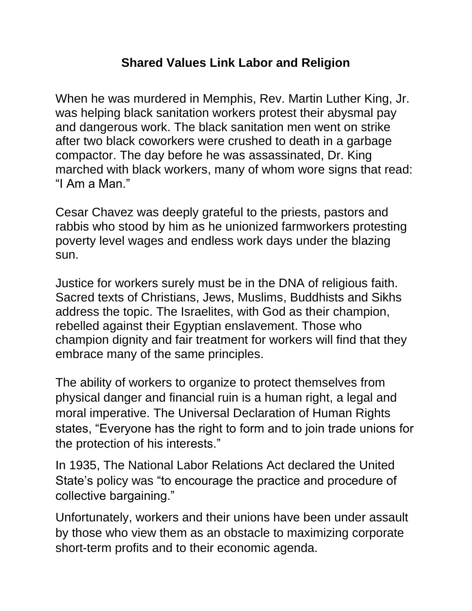## **Shared Values Link Labor and Religion**

When he was murdered in Memphis, Rev. Martin Luther King, Jr. was helping black sanitation workers protest their abysmal pay and dangerous work. The black sanitation men went on strike after two black coworkers were crushed to death in a garbage compactor. The day before he was assassinated, Dr. King marched with black workers, many of whom wore signs that read: "I Am a Man."

Cesar Chavez was deeply grateful to the priests, pastors and rabbis who stood by him as he unionized farmworkers protesting poverty level wages and endless work days under the blazing sun.

Justice for workers surely must be in the DNA of religious faith. Sacred texts of Christians, Jews, Muslims, Buddhists and Sikhs address the topic. The Israelites, with God as their champion, rebelled against their Egyptian enslavement. Those who champion dignity and fair treatment for workers will find that they embrace many of the same principles.

The ability of workers to organize to protect themselves from physical danger and financial ruin is a human right, a legal and moral imperative. The Universal Declaration of Human Rights states, "Everyone has the right to form and to join trade unions for the protection of his interests."

In 1935, The National Labor Relations Act declared the United State's policy was "to encourage the practice and procedure of collective bargaining."

Unfortunately, workers and their unions have been under assault by those who view them as an obstacle to maximizing corporate short-term profits and to their economic agenda.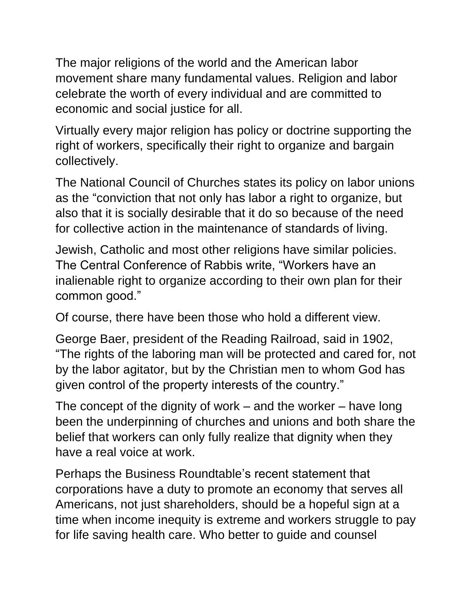The major religions of the world and the American labor movement share many fundamental values. Religion and labor celebrate the worth of every individual and are committed to economic and social justice for all.

Virtually every major religion has policy or doctrine supporting the right of workers, specifically their right to organize and bargain collectively.

The National Council of Churches states its policy on labor unions as the "conviction that not only has labor a right to organize, but also that it is socially desirable that it do so because of the need for collective action in the maintenance of standards of living.

Jewish, Catholic and most other religions have similar policies. The Central Conference of Rabbis write, "Workers have an inalienable right to organize according to their own plan for their common good."

Of course, there have been those who hold a different view.

George Baer, president of the Reading Railroad, said in 1902, "The rights of the laboring man will be protected and cared for, not by the labor agitator, but by the Christian men to whom God has given control of the property interests of the country."

The concept of the dignity of work  $-$  and the worker  $-$  have long been the underpinning of churches and unions and both share the belief that workers can only fully realize that dignity when they have a real voice at work.

Perhaps the Business Roundtable's recent statement that corporations have a duty to promote an economy that serves all Americans, not just shareholders, should be a hopeful sign at a time when income inequity is extreme and workers struggle to pay for life saving health care. Who better to guide and counsel